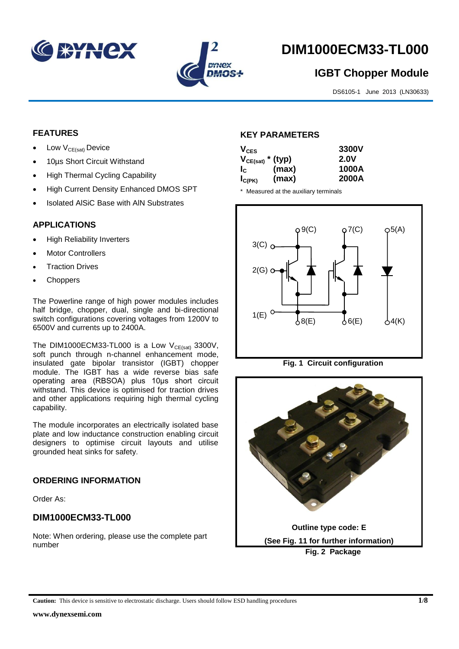



# **DIM1000ECM33-TL000**

## **IGBT Chopper Module**

DS6105-1 June 2013 (LN30633)

#### **FEATURES**

- Low  $V_{CE(sat)}$  Device
- 10µs Short Circuit Withstand
- High Thermal Cycling Capability
- High Current Density Enhanced DMOS SPT
- Isolated AlSiC Base with AlN Substrates

#### **APPLICATIONS**

- High Reliability Inverters
- Motor Controllers
- Traction Drives
- **Choppers**

The Powerline range of high power modules includes half bridge, chopper, dual, single and bi-directional switch configurations covering voltages from 1200V to 6500V and currents up to 2400A.

The DIM1000ECM33-TL000 is a Low  $V_{CE(sat)}$  3300V, soft punch through n-channel enhancement mode, insulated gate bipolar transistor (IGBT) chopper module. The IGBT has a wide reverse bias safe operating area (RBSOA) plus 10μs short circuit withstand. This device is optimised for traction drives and other applications requiring high thermal cycling capability.

The module incorporates an electrically isolated base plate and low inductance construction enabling circuit designers to optimise circuit layouts and utilise grounded heat sinks for safety.

#### **ORDERING INFORMATION**

Order As:

#### **DIM1000ECM33-TL000**

Note: When ordering, please use the complete part number

#### **KEY PARAMETERS**

| $V_{CES}$<br>$V_{CE(sat)}$ * (typ) |       | 3300V<br><b>2.0V</b> |
|------------------------------------|-------|----------------------|
| $I_{\rm c}$                        | (max) | 1000A                |
| $I_{C(PK)}$                        | (max) | 2000A                |

\* Measured at the auxiliary terminals



**Fig. 1 Circuit configuration**

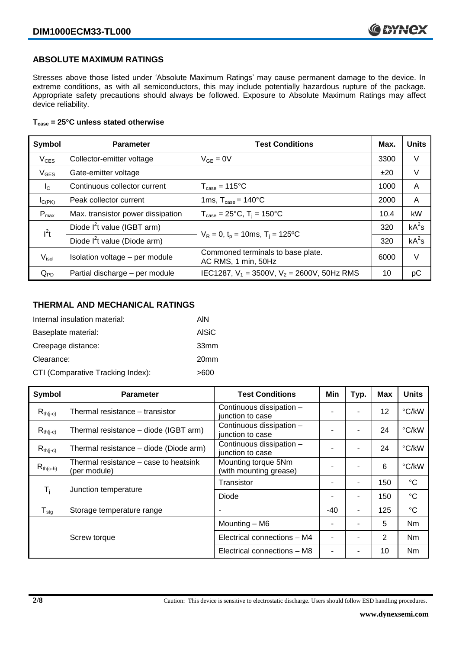#### **ABSOLUTE MAXIMUM RATINGS**

Stresses above those listed under 'Absolute Maximum Ratings' may cause permanent damage to the device. In extreme conditions, as with all semiconductors, this may include potentially hazardous rupture of the package. Appropriate safety precautions should always be followed. Exposure to Absolute Maximum Ratings may affect device reliability.

#### **Tcase = 25°C unless stated otherwise**

| Symbol            | <b>Parameter</b>                  | <b>Test Conditions</b>                                   | Max. | <b>Units</b> |
|-------------------|-----------------------------------|----------------------------------------------------------|------|--------------|
| $V_{CES}$         | Collector-emitter voltage         | $V_{GF} = 0V$                                            | 3300 | V            |
| $V_{GES}$         | Gate-emitter voltage              |                                                          | ±20  | V            |
| $I_{\rm C}$       | Continuous collector current      | $T_{\text{case}} = 115^{\circ}C$                         | 1000 | A            |
| $I_{C(PK)}$       | Peak collector current            | 1ms, $T_{\text{case}} = 140^{\circ}$ C                   | 2000 | A            |
| $P_{\text{max}}$  | Max. transistor power dissipation | $T_{\text{case}} = 25^{\circ}C$ , $T_i = 150^{\circ}C$   | 10.4 | kW           |
| $l^2t$            | Diode $I^2$ t value (IGBT arm)    |                                                          | 320  | $kA^2s$      |
|                   | Diode $I^2$ t value (Diode arm)   | $V_R = 0$ , $t_p = 10$ ms, $T_i = 125$ °C                |      | $kA^2s$      |
| V <sub>isol</sub> | Isolation voltage - per module    | Commoned terminals to base plate.<br>AC RMS, 1 min, 50Hz | 6000 | $\vee$       |
| $Q_{PD}$          | Partial discharge - per module    | IEC1287, $V_1$ = 3500V, $V_2$ = 2600V, 50Hz RMS          | 10   | pC           |

#### **THERMAL AND MECHANICAL RATINGS**

| Internal insulation material:     | AIN              |
|-----------------------------------|------------------|
| Baseplate material:               | <b>AISiC</b>     |
| Creepage distance:                | 33mm             |
| Clearance:                        | 20 <sub>mm</sub> |
| CTI (Comparative Tracking Index): | >600             |

| Symbol           | <b>Parameter</b>                                      | <b>Test Conditions</b>                        | Min   | Typ. | <b>Max</b> | <b>Units</b>    |
|------------------|-------------------------------------------------------|-----------------------------------------------|-------|------|------------|-----------------|
| $R_{th(i-c)}$    | Thermal resistance – transistor                       | Continuous dissipation -<br>junction to case  |       | ۰    | 12         | °C/kW           |
| $R_{th(j-c)}$    | Thermal resistance - diode (IGBT arm)                 | Continuous dissipation -<br>junction to case  |       | ٠    | 24         | °C/kW           |
| $R_{th(i-c)}$    | Thermal resistance - diode (Diode arm)                | Continuous dissipation -<br>junction to case  |       | ٠    | 24         | °C/kW           |
| $R_{th(c-h)}$    | Thermal resistance – case to heatsink<br>(per module) | Mounting torque 5Nm<br>(with mounting grease) |       | ۰    | 6          | °C/kW           |
| $T_i$            | Junction temperature                                  | Transistor                                    |       | ٠    | 150        | $^{\circ}C$     |
|                  |                                                       | Diode                                         |       | ۰    | 150        | $\rm ^{\circ}C$ |
| $T_{\text{stg}}$ | Storage temperature range                             |                                               | $-40$ | ٠    | 125        | $^{\circ}C$     |
|                  |                                                       | Mounting - M6                                 |       | ۰    | 5          | Nm              |
|                  | Screw torque                                          | Electrical connections - M4                   |       | ۰    | 2          | Nm              |
|                  |                                                       | Electrical connections - M8                   |       |      | 10         | Nm              |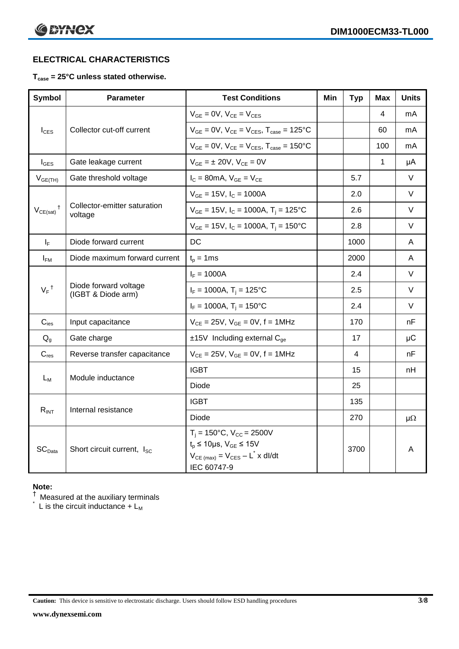### **ELECTRICAL CHARACTERISTICS**

#### **Tcase = 25°C unless stated otherwise.**

| <b>Symbol</b>                 | <b>Parameter</b>                            | <b>Test Conditions</b>                                                                                                                            | Min | <b>Typ</b> | <b>Max</b> | <b>Units</b> |
|-------------------------------|---------------------------------------------|---------------------------------------------------------------------------------------------------------------------------------------------------|-----|------------|------------|--------------|
|                               |                                             | $V_{GE} = 0V$ , $V_{CE} = V_{CES}$                                                                                                                |     |            | 4          | mA           |
| $I_{\text{CES}}$              | Collector cut-off current                   | $V_{GE} = 0V$ , $V_{CE} = V_{CES}$ , $T_{case} = 125$ °C                                                                                          |     |            | 60         | mA           |
|                               |                                             | $V_{GE} = 0V$ , $V_{CE} = V_{CES}$ , $T_{case} = 150^{\circ}C$                                                                                    |     |            | 100        | mA           |
| $I_{\text{GES}}$              | Gate leakage current                        | $V_{GE} = \pm 20V$ , $V_{CE} = 0V$                                                                                                                |     |            | 1          | μA           |
| $V_{GE(TH)}$                  | Gate threshold voltage                      | $I_C = 80$ mA, $V_{GE} = V_{CE}$                                                                                                                  |     | 5.7        |            | V            |
|                               |                                             | $V_{GE}$ = 15V, $I_C$ = 1000A                                                                                                                     |     | 2.0        |            | V            |
| $V_{CE(sat)}$ <sup>†</sup>    | Collector-emitter saturation<br>voltage     | $V_{GE}$ = 15V, I <sub>C</sub> = 1000A, T <sub>i</sub> = 125°C                                                                                    |     | 2.6        |            | $\vee$       |
|                               |                                             | $V_{GE}$ = 15V, I <sub>C</sub> = 1000A, T <sub>i</sub> = 150°C                                                                                    |     | 2.8        |            | $\vee$       |
| $I_F$                         | Diode forward current                       | DC                                                                                                                                                |     | 1000       |            | A            |
| $I_{FM}$                      | Diode maximum forward current               | $t_p = 1$ ms                                                                                                                                      |     | 2000       |            | A            |
|                               | Diode forward voltage<br>(IGBT & Diode arm) | $I_F = 1000A$                                                                                                                                     |     | 2.4        |            | $\vee$       |
| $V_F$ <sup>†</sup>            |                                             | $I_F = 1000A$ , $T_i = 125^{\circ}C$                                                                                                              |     | 2.5        |            | V            |
|                               |                                             | $I_F = 1000A$ , $T_i = 150^{\circ}C$                                                                                                              |     | 2.4        |            | V            |
| $C_{\text{ies}}$              | Input capacitance                           | $V_{CE} = 25V$ , $V_{GE} = 0V$ , $f = 1MHz$                                                                                                       |     | 170        |            | nF           |
| $Q_{q}$                       | Gate charge                                 | $±15V$ Including external C <sub>ge</sub>                                                                                                         |     | 17         |            | $\mu$ C      |
| $C_{res}$                     | Reverse transfer capacitance                | $V_{CE} = 25V$ , $V_{GE} = 0V$ , $f = 1MHz$                                                                                                       |     | 4          |            | nF           |
| $L_M$                         | Module inductance                           | <b>IGBT</b>                                                                                                                                       |     | 15         |            | nH           |
|                               |                                             | <b>Diode</b>                                                                                                                                      |     | 25         |            |              |
| $R_{INT}$                     |                                             | <b>IGBT</b>                                                                                                                                       |     | 135        |            |              |
|                               | Internal resistance                         | Diode                                                                                                                                             |     | 270        |            | μΩ           |
| $\mathsf{SC}_{\mathsf{Data}}$ | Short circuit current, I <sub>SC</sub>      | $T_i = 150^{\circ}C$ , $V_{CC} = 2500V$<br>$t_p \le 10 \mu s$ , $V_{GE} \le 15 V$<br>$V_{CE \ (max)} = V_{CES} - L^* \times dl/dt$<br>IEC 60747-9 |     | 3700       |            | A            |

#### **Note:**

 $^\dagger$  Measured at the auxiliary terminals

 $\check{}$  L is the circuit inductance + L<sub>M</sub>

**Caution:** This device is sensitive to electrostatic discharge. Users should follow ESD handling procedures **3/8**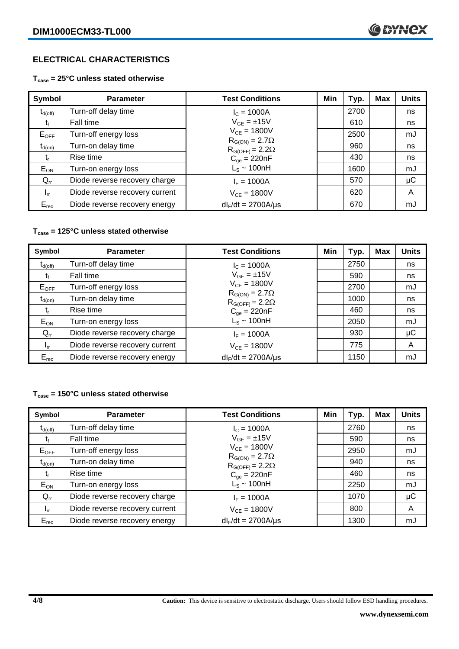#### **ELECTRICAL CHARACTERISTICS**

**Tcase = 25°C unless stated otherwise**

| Symbol              | <b>Parameter</b>               | <b>Test Conditions</b>                              | Min | Typ. | Max | <b>Units</b> |
|---------------------|--------------------------------|-----------------------------------------------------|-----|------|-----|--------------|
| $t_{d(\text{off})}$ | Turn-off delay time            | $I_c = 1000A$                                       |     | 2700 |     | ns           |
| τŧ                  | Fall time                      | $V_{GE} = \pm 15V$                                  |     | 610  |     | ns           |
| $E_{OFF}$           | Turn-off energy loss           | $V_{CF} = 1800V$                                    |     | 2500 |     | mJ           |
| $t_{d(on)}$         | Turn-on delay time             | $R_{G(ON)} = 2.7\Omega$<br>$R_{G(OFF)} = 2.2\Omega$ |     | 960  |     | ns           |
| t,                  | Rise time                      | $C_{\text{qe}} = 220nF$                             |     | 430  |     | ns           |
| $E_{ON}$            | Turn-on energy loss            | $L_s \sim 100nH$                                    |     | 1600 |     | mJ           |
| $Q_{rr}$            | Diode reverse recovery charge  | $I_F = 1000A$                                       |     | 570  |     | $\mu$ C      |
| $I_{rr}$            | Diode reverse recovery current | $V_{CF} = 1800V$                                    |     | 620  |     | A            |
| $E_{rec}$           | Diode reverse recovery energy  | $dl_F/dt = 2700A/\mu s$                             |     | 670  |     | mJ           |

#### **Tcase = 125°C unless stated otherwise**

| Symbol                         | <b>Parameter</b>               | <b>Test Conditions</b>                              | Min | Typ. | Max | <b>Units</b> |
|--------------------------------|--------------------------------|-----------------------------------------------------|-----|------|-----|--------------|
| $t_{\mathsf{d}(\mathsf{off})}$ | Turn-off delay time            | $I_c = 1000A$                                       |     | 2750 |     | ns           |
| τŧ                             | Fall time                      | $V_{GE} = \pm 15V$                                  |     | 590  |     | ns           |
| $E_{OFF}$                      | Turn-off energy loss           | $V_{CE} = 1800V$                                    |     | 2700 |     | mJ           |
| $t_{d(on)}$                    | Turn-on delay time             | $R_{G(ON)} = 2.7\Omega$<br>$R_{G(OFF)} = 2.2\Omega$ |     | 1000 |     | ns           |
| t,                             | Rise time                      | $C_{qe} = 220nF$                                    |     | 460  |     | ns           |
| $E_{ON}$                       | Turn-on energy loss            | $L_s \sim 100nH$                                    |     | 2050 |     | mJ           |
| $Q_{rr}$                       | Diode reverse recovery charge  | $I_F = 1000A$                                       |     | 930  |     | μC           |
| $I_{rr}$                       | Diode reverse recovery current | $V_{CE} = 1800V$                                    |     | 775  |     | A            |
| $E_{rec}$                      | Diode reverse recovery energy  | $dl_F/dt = 2700A/\mu s$                             |     | 1150 |     | mJ           |

#### **Tcase = 150°C unless stated otherwise**

| Symbol              | <b>Parameter</b>               | <b>Test Conditions</b>                              | Min | Typ. | Max | <b>Units</b> |
|---------------------|--------------------------------|-----------------------------------------------------|-----|------|-----|--------------|
| $t_{d(\text{off})}$ | Turn-off delay time            | $I_c = 1000A$                                       |     | 2760 |     | ns           |
| t                   | Fall time                      | $V_{GE} = \pm 15V$                                  |     | 590  |     | ns           |
| $E_{OFF}$           | Turn-off energy loss           | $V_{CE} = 1800V$                                    |     | 2950 |     | mJ           |
| $t_{d(on)}$         | Turn-on delay time             | $R_{G(ON)} = 2.7\Omega$<br>$R_{G(OFF)} = 2.2\Omega$ |     | 940  |     | ns           |
| t,                  | Rise time                      | $C_{qe} = 220nF$                                    |     | 460  |     | ns           |
| $E_{ON}$            | Turn-on energy loss            | $L_s \sim 100$ nH                                   |     | 2250 |     | mJ           |
| $Q_{rr}$            | Diode reverse recovery charge  | $I_F = 1000A$                                       |     | 1070 |     | μC           |
| $I_{rr}$            | Diode reverse recovery current | $V_{CF} = 1800V$                                    |     | 800  |     | A            |
| $E_{rec}$           | Diode reverse recovery energy  | $dl_F/dt = 2700A/\mu s$                             |     | 1300 |     | mJ           |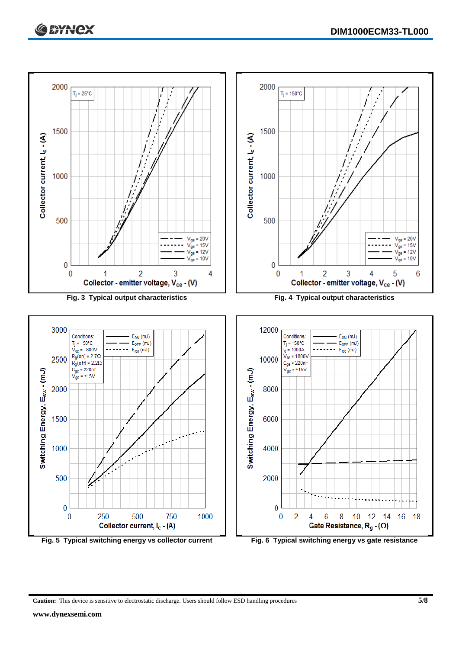

**Caution:** This device is sensitive to electrostatic discharge. Users should follow ESD handling procedures **5/8**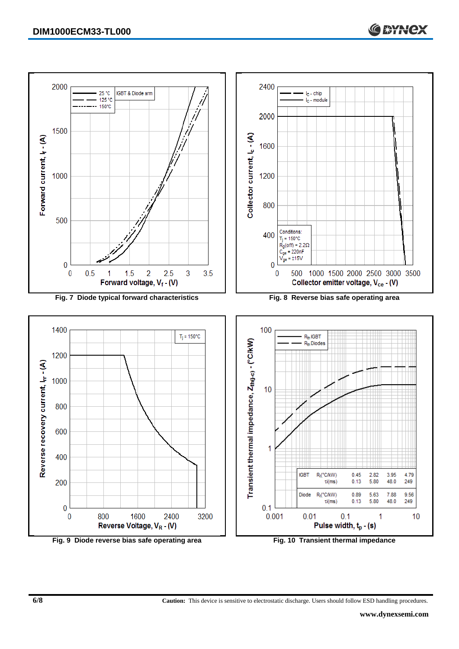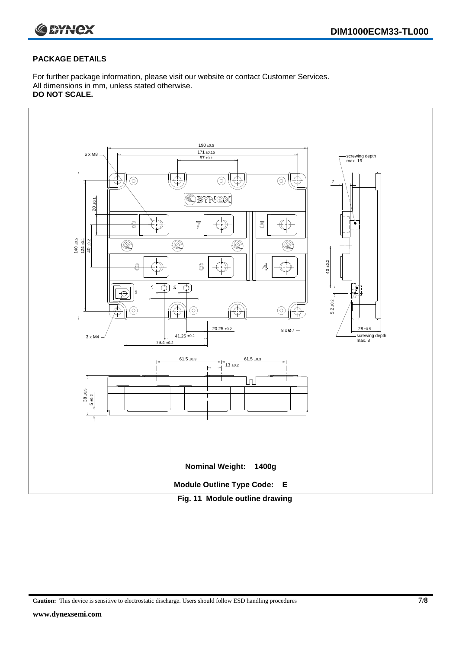

#### **PACKAGE DETAILS**

For further package information, please visit our website or contact Customer Services. All dimensions in mm, unless stated otherwise. **DO NOT SCALE.**



**Caution:** This device is sensitive to electrostatic discharge. Users should follow ESD handling procedures **7/8**